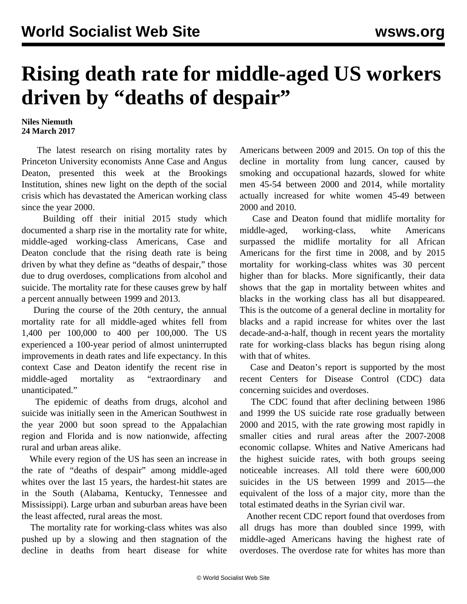## **Rising death rate for middle-aged US workers driven by "deaths of despair"**

## **Niles Niemuth 24 March 2017**

 The latest research on rising mortality rates by Princeton University economists Anne Case and Angus Deaton, presented this week at the Brookings Institution, shines new light on the depth of the social crisis which has devastated the American working class since the year 2000.

 Building off their initial 2015 study which documented a sharp rise in the mortality rate for white, middle-aged working-class Americans, Case and Deaton conclude that the rising death rate is being driven by what they define as "deaths of despair," those due to drug overdoses, complications from alcohol and suicide. The mortality rate for these causes grew by half a percent annually between 1999 and 2013.

 During the course of the 20th century, the annual mortality rate for all middle-aged whites fell from 1,400 per 100,000 to 400 per 100,000. The US experienced a 100-year period of almost uninterrupted improvements in death rates and life expectancy. In this context Case and Deaton identify the recent rise in middle-aged mortality as "extraordinary and unanticipated."

 The epidemic of deaths from drugs, alcohol and suicide was initially seen in the American Southwest in the year 2000 but soon spread to the Appalachian region and Florida and is now nationwide, affecting rural and urban areas alike.

 While every region of the US has seen an increase in the rate of "deaths of despair" among middle-aged whites over the last 15 years, the hardest-hit states are in the South (Alabama, Kentucky, Tennessee and Mississippi). Large urban and suburban areas have been the least affected, rural areas the most.

 The mortality rate for working-class whites was also pushed up by a slowing and then stagnation of the decline in deaths from heart disease for white Americans between 2009 and 2015. On top of this the decline in mortality from lung cancer, caused by smoking and occupational hazards, slowed for white men 45-54 between 2000 and 2014, while mortality actually increased for white women 45-49 between 2000 and 2010.

 Case and Deaton found that midlife mortality for middle-aged, working-class, white Americans surpassed the midlife mortality for all African Americans for the first time in 2008, and by 2015 mortality for working-class whites was 30 percent higher than for blacks. More significantly, their data shows that the gap in mortality between whites and blacks in the working class has all but disappeared. This is the outcome of a general decline in mortality for blacks and a rapid increase for whites over the last decade-and-a-half, though in recent years the mortality rate for working-class blacks has begun rising along with that of whites.

 Case and Deaton's report is supported by the most recent Centers for Disease Control (CDC) data concerning suicides and overdoses.

 The CDC found that after declining between 1986 and 1999 the US suicide rate rose gradually between 2000 and 2015, with the rate growing most rapidly in smaller cities and rural areas after the 2007-2008 economic collapse. Whites and Native Americans had the highest suicide rates, with both groups seeing noticeable increases. All told there were 600,000 suicides in the US between 1999 and 2015—the equivalent of the loss of a major city, more than the total estimated deaths in the Syrian civil war.

 Another recent CDC report found that overdoses from all drugs has more than doubled since 1999, with middle-aged Americans having the highest rate of overdoses. The overdose rate for whites has more than